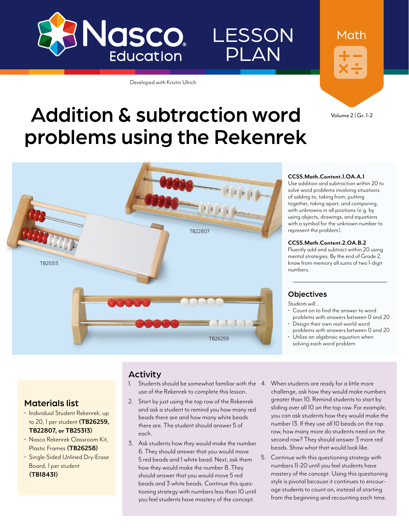

#### Developed with Kristin Ulrich



LESSON

PLAN

Volume 2 | Gr. 1-2

Math

# Addition & subtraction word problems using the Rekenrek



#### **CCSS.Math.Content.1.OA.A.1**

Use addition and subtraction within 20 to solve word problems involving situations of adding to, taking from, putting together, taking apart, and comparing, with unknowns in all positions (e.g. by using objects, drawings, and equations with a symbol for the unknown number to represent the problem).

#### **CCSS.Math.Content.2.OA.B.2**

Fluently add and subtract within 20 using mental strategies. By the end of Grade 2, know from memory all sums of two 1-digit numbers.

#### **Objectives**

*Students will…*

- Count on to find the answer to word problems with answers between 0 and 20
- Design their own real-world word problems with answers between 0 and 20
- Utilize an algebraic equation when solving each word problem

#### Activity

- 1. Students should be somewhat familiar with the 4. When students are ready for a little more use of the Rekenrek to complete this lesson.
- 2. Start by just using the top row of the Rekenrek and ask a student to remind you how many red beads there are and how many white beads there are. The student should answer 5 of each.
- 3. Ask students how they would make the number 6. They should answer that you would move 5 red beads and 1 white bead. Next, ask them how they would make the number 8. They should answer that you would move 5 red beads and 3 white beads. Continue this questioning strategy with numbers less than 10 until you feel students have mastery of the concept.
- challenge, ask how they would make numbers greater than 10. Remind students to start by sliding over all 10 on the top row. For example, you can ask students how they would make the number 13. If they use all 10 beads on the top row, how many more do students need on the second row? They should answer 3 more red beads. Show what that would look like.
- 5. Continue with this questioning strategy with numbers 11-20 until you feel students have mastery of the concept. Using this questioning style is pivotal because it continues to encourage students to count on, instead of starting from the beginning and recounting each time.

#### Materials list

- Individual Student Rekenrek; up to 20, 1 per student **([TB26259,](http://www.enasco.com/p/TB26259) [TB22807,](http://www.enasco.com/p/TB22807) or [TB25313\)](http://www.enasco.com/p/TB25313)**
- Nasco Rekenrek Classroom Kit, Plastic Frames **([TB26258](http://www.enasco.com/p/TB26258))**
- Single-Sided Unlined Dry-Erase Board, 1 per student **[\(TB18431](http://www.enasco.com/p/TB18431))**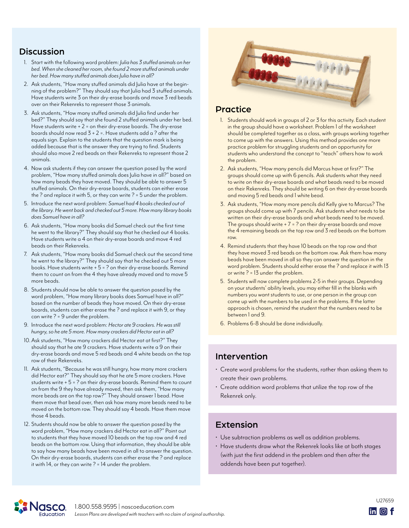## **Discussion**

- 1. Start with the following word problem: *Julia has 3 stuffed animals on her bed. When she cleaned her room, she found 2 more stuffed animals under her bed. How many stuffed animals does Julia have in all?*
- 2. Ask students, "How many stuffed animals did Julia have at the beginning of the problem?" They should say that Julia had 3 stuffed animals. Have students write 3 on their dry-erase boards and move 3 red beads over on their Rekenreks to represent those 3 animals.
- 3. Ask students, "How many stuffed animals did Julia find under her bed?" They should say that she found 2 stuffed animals under her bed. Have students write  $+ 2 =$  on their dry-erase boards. The dry-erase boards should now read  $3 + 2 =$ . Have students add a ? after the equals sign. Explain to the students that the question mark is being added because that is the answer they are trying to find. Students should also move 2 red beads on their Rekenreks to represent those 2 animals.
- 4. Now ask students if they can answer the question posed by the word problem, "How many stuffed animals does Julia have in all?" based on how many beads they have moved. They should be able to answer 5 stuffed animals. On their dry-erase boards, students can either erase the ? and replace it with 5, or they can write ? = 5 under the problem.
- 5. Introduce the next word problem: *Samuel had 4 books checked out of the library. He went back and checked out 5 more. How many library books does Samuel have in all?*
- 6. Ask students, "How many books did Samuel check out the first time he went to the library?" They should say that he checked out 4 books. Have students write a 4 on their dry-erase boards and move 4 red beads on their Rekenreks.
- 7. Ask students, "How many books did Samuel check out the second time he went to the library?" They should say that he checked out 5 more books. Have students write + 5 = ? on their dry-erase boards. Remind them to count on from the 4 they have already moved and to move 5 more beads.
- 8. Students should now be able to answer the question posed by the word problem, "How many library books does Samuel have in all?" based on the number of beads they have moved. On their dry-erase boards, students can either erase the ? and replace it with 9, or they can write ? = 9 under the problem.
- 9. Introduce the next word problem: *Hector ate 9 crackers. He was still hungry, so he ate 5 more. How many crackers did Hector eat in all?*
- 10.Ask students, "How many crackers did Hector eat at first?" They should say that he ate 9 crackers. Have students write a 9 on their dry-erase boards and move 5 red beads and 4 white beads on the top row of their Rekenreks.
- 11. Ask students, "Because he was still hungry, how many more crackers did Hector eat?" They should say that he ate 5 more crackers. Have students write + 5 = ? on their dry-erase boards. Remind them to count on from the 9 they have already moved, then ask them, "How many more beads are on the top row?" They should answer 1 bead. Have them move that bead over, then ask how many more beads need to be moved on the bottom row. They should say 4 beads. Have them move those 4 beads.
- 12. Students should now be able to answer the question posed by the word problem, "How many crackers did Hector eat in all?" Point out to students that they have moved 10 beads on the top row and 4 red beads on the bottom row. Using that information, they should be able to say how many beads have been moved in all to answer the question. On their dry-erase boards, students can either erase the ? and replace it with 14, or they can write ? = 14 under the problem.



#### Practice

- 1. Students should work in groups of 2 or 3 for this activity. Each student in the group should have a worksheet. Problem 1 of the worksheet should be completed together as a class, with groups working together to come up with the answers. Using this method provides one more practice problem for struggling students and an opportunity for students who understand the concept to "teach" others how to work the problem.
- 2. Ask students, "How many pencils did Marcus have at first?" The groups should come up with 6 pencils. Ask students what they need to write on their dry-erase boards and what beads need to be moved on their Rekenreks. They should be writing 6 on their dry-erase boards and moving 5 red beads and 1 white bead.
- 3. Ask students, "How many more pencils did Kelly give to Marcus? The groups should come up with 7 pencils. Ask students what needs to be written on their dry-erase boards and what beads need to be moved. The groups should write  $+ 7 = ?$  on their dry-erase boards and move the 4 remaining beads on the top row and 3 red beads on the bottom row.
- 4. Remind students that they have 10 beads on the top row and that they have moved 3 red beads on the bottom row. Ask them how many beads have been moved in all so they can answer the question in the word problem. Students should either erase the ? and replace it with 13 or write ? = 13 under the problem.
- 5. Students will now complete problems 2-5 in their groups. Depending on your students' ability levels, you may either fill in the blanks with numbers you want students to use, or one person in the group can come up with the numbers to be used in the problems. If the latter approach is chosen, remind the student that the numbers need to be between 1 and 9.
- 6. Problems 6-8 should be done individually.

## Intervention

- Create word problems for the students, rather than asking them to create their own problems.
- Create addition word problems that utilize the top row of the Rekenrek only.

## Extension

- Use subtraction problems as well as addition problems.
- Have students draw what the Rekenrek looks like at both stages (with just the first addend in the problem and then after the addends have been put together).